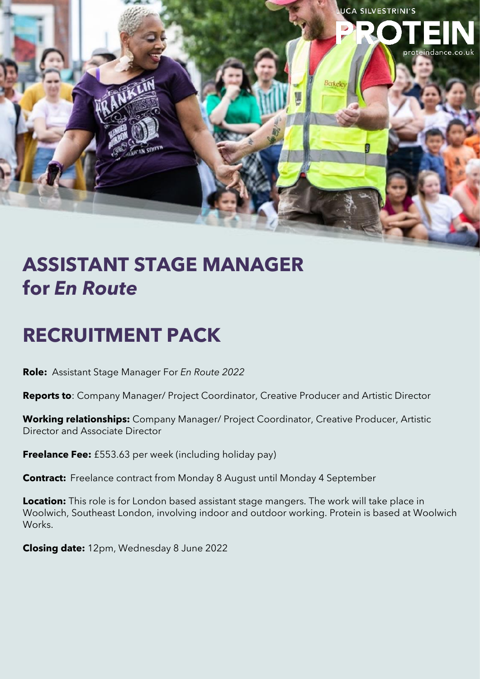

# **ASSISTANT STAGE MANAGER for** *En Route*

# **RECRUITMENT PACK**

**Role:** Assistant Stage Manager For *En Route 2022*

**Reports to**: Company Manager/ Project Coordinator, Creative Producer and Artistic Director

**Working relationships:** Company Manager/ Project Coordinator, Creative Producer, Artistic Director and Associate Director

**Freelance Fee:** £553.63 per week (including holiday pay)

**Contract:** Freelance contract from Monday 8 August until Monday 4 September

**Location:** This role is for London based assistant stage mangers. The work will take place in Woolwich, Southeast London, involving indoor and outdoor working. Protein is based at Woolwich Works.

**Closing date:** 12pm, Wednesday 8 June 2022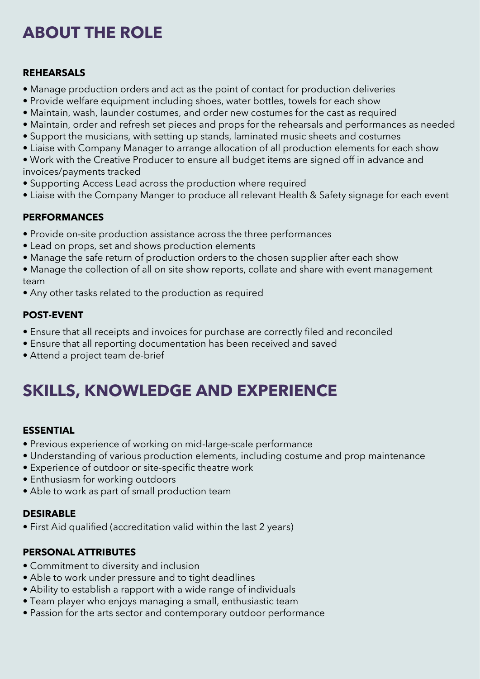## **ABOUT THE ROLE**

#### **REHEARSALS**

- Manage production orders and act as the point of contact for production deliveries
- Provide welfare equipment including shoes, water bottles, towels for each show
- Maintain, wash, launder costumes, and order new costumes for the cast as required
- Maintain, order and refresh set pieces and props for the rehearsals and performances as needed
- Support the musicians, with setting up stands, laminated music sheets and costumes
- Liaise with Company Manager to arrange allocation of all production elements for each show

• Work with the Creative Producer to ensure all budget items are signed off in advance and invoices/payments tracked

- Supporting Access Lead across the production where required
- Liaise with the Company Manger to produce all relevant Health & Safety signage for each event

### **PERFORMANCES**

- Provide on-site production assistance across the three performances
- Lead on props, set and shows production elements
- Manage the safe return of production orders to the chosen supplier after each show
- Manage the collection of all on site show reports, collate and share with event management team
- Any other tasks related to the production as required

### **POST-EVENT**

- Ensure that all receipts and invoices for purchase are correctly filed and reconciled
- Ensure that all reporting documentation has been received and saved
- Attend a project team de-brief

## **SKILLS, KNOWLEDGE AND EXPERIENCE**

#### **ESSENTIAL**

- Previous experience of working on mid-large-scale performance
- Understanding of various production elements, including costume and prop maintenance
- Experience of outdoor or site-specific theatre work
- Enthusiasm for working outdoors
- Able to work as part of small production team

### **DESIRABLE**

• First Aid qualified (accreditation valid within the last 2 years)

### **PERSONAL ATTRIBUTES**

- Commitment to diversity and inclusion
- Able to work under pressure and to tight deadlines
- Ability to establish a rapport with a wide range of individuals
- Team player who enjoys managing a small, enthusiastic team
- Passion for the arts sector and contemporary outdoor performance